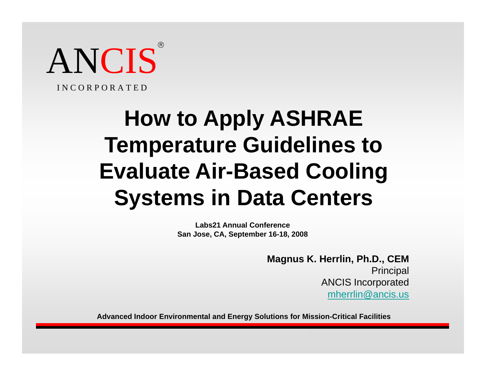

I N C O R P O R A T E D

# **How to Apply ASHRAE Temperature Guidelines to E l t Ai Evaluate Air-B d C li Based Cooling Systems in Data Centers**

**Labs21 Annual ConferenceSan Jose, CA, September 16-18, 2008**

> **Magnus K Herrlin Ph D CEM K. Herrlin, Ph.D., Principal** ANCIS Incorporated mherrlin@ancis.us

**Advanced Indoor Environmental and Energy Solutions for Mission-Critical Facilities**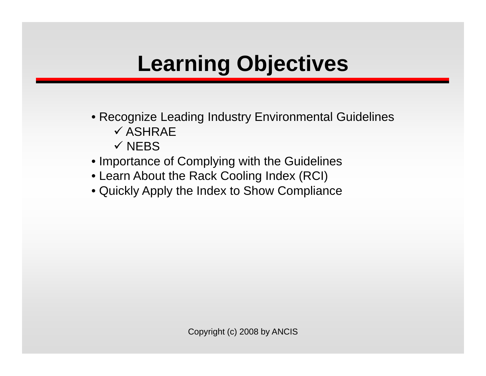# **Learning Objectives**

- **ENSINE SPAND TO STAND THE SERVICE SERVICE SERVICE SERVICE SERVICE SERVICE SERVICE SERVICE SERVICE SERVICE SERVICE SERVICE SERVICE SERVICE SERVICE SERVICE SERVICE SERVICE SERVICE SERVICE SERVICE SERVICE SERVICE SERVICE SER**  $\checkmark$  ASHRAE
	- $\checkmark$  NEBS
- Importance of Complying with the Guidelines
- Learn About the Rack Cooling Index (RCI)
- Quickly Apply the Index to Show Compliance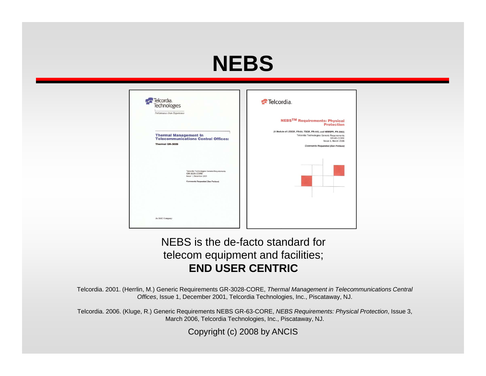### **NEBS**

| Telcordia.<br>Technologies<br>Performance from Experience                                                                        | Telcordia.                                                                                                                                                                                   |
|----------------------------------------------------------------------------------------------------------------------------------|----------------------------------------------------------------------------------------------------------------------------------------------------------------------------------------------|
|                                                                                                                                  | <b>NEBSTM Requirements: Physical</b><br><b>Protection</b>                                                                                                                                    |
| <b>Thermal Management In<br/>Telecommunications Central Offices:</b><br><b>Thermal GR-3028</b>                                   | (A Module of LSSGR, FR-64; TSGR, FR-440; and NEBSFR, FR-2063)<br>Telcordia Technologies Generic Requirements<br>GR-63-CORE<br>Issue 3, March 2006<br><b>Comments Requested (See Preface)</b> |
| Telcordia Technologies Generic Requirements<br>GR-3028-CORE<br>Issue 1, December 2001<br><b>Comments Requested (See Preface)</b> |                                                                                                                                                                                              |
| An SAIC Company                                                                                                                  |                                                                                                                                                                                              |

#### NEBS is the de-facto standard for telecom equipment and facilities; **END USER CENTRIC**

Telcordia. 2001. (Herrlin, M.) Generic Requirements GR-3028-CORE, *Thermal Management in Telecommunications Central Offices*, Issue 1, December 2001, Telcordia Technologies, Inc., Piscataway, NJ.

Telcordia. 2006. (Kluge, R.) Generic Requirements NEBS GR-63-CORE, *NEBS Requirements: Physical Protection*, Issue 3, March 2006, Telcordia Technologies, Inc., Piscataway, NJ.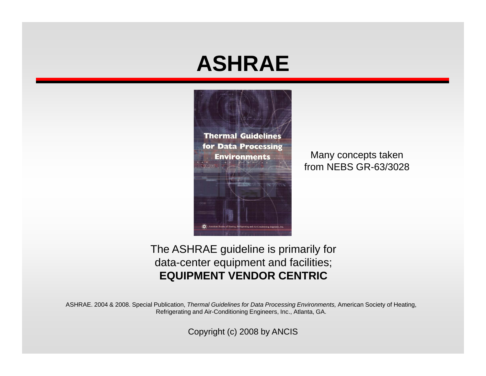#### **ASHRAE**



Many concepts taken f NEBS GR from GR-63/3028 63/3028

The ASHRAE guideline is primarily for data-center equipment and facilities; **EQUIPMENT VENDOR CENTRIC**

ASHRAE. 2004 & 2008. Special Publication, *Thermal Guidelines for Data Processing Environments,* American Society of Heating, Refrigerating and Air-Conditioning Engineers, Inc., Atlanta, GA.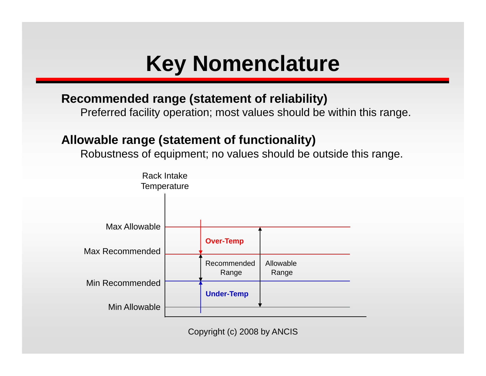### **Key Nomenclature**

#### **Recommended range (statement of reliability)**

Preferred facility operation; most values should be within this range.

#### **Allowable range (statement of functionality)**

Robustness of equipment; no values should be outside this range.

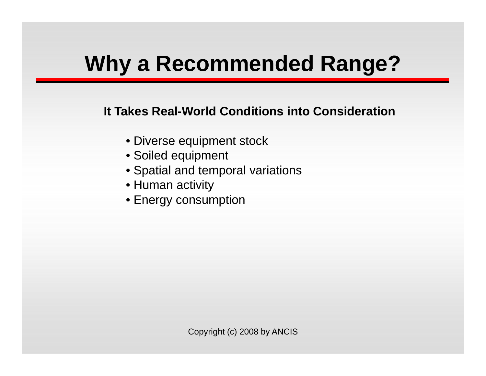# **Why <sup>a</sup> Recommended Range?**

#### **It Takes Real-World Conditions into Consideration**

- Diverse equipment stock
- Soiled equipment
- Spatial and temporal variations
- Human activity
- Energy consumption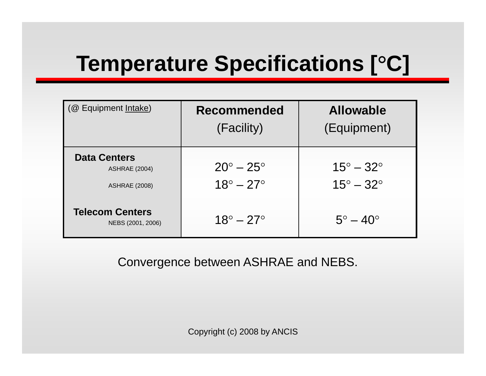# **Temperature Specifications [** °**C]**

| (@ Equipment Intake)                                                | <b>Recommended</b><br>(Facility)                   | <b>Allowable</b><br>(Equipment)                    |
|---------------------------------------------------------------------|----------------------------------------------------|----------------------------------------------------|
| <b>Data Centers</b><br><b>ASHRAE (2004)</b><br><b>ASHRAE (2008)</b> | $20^\circ - 25^\circ$<br>$18^{\circ} - 27^{\circ}$ | $15^\circ - 32^\circ$<br>$15^{\circ} - 32^{\circ}$ |
| <b>Telecom Centers</b><br>NEBS (2001, 2006)                         | $18^{\circ} - 27^{\circ}$                          | $5^\circ - 40^\circ$                               |

Convergence between ASHRAE and NEBS.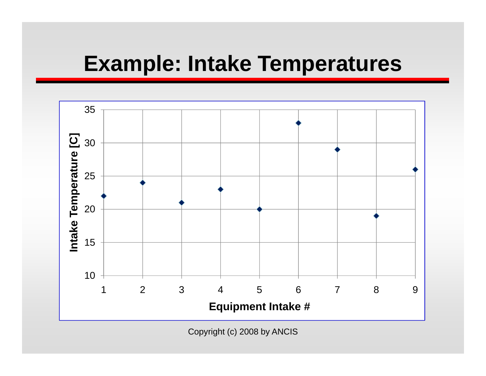#### **Example: Intake Temperatures**

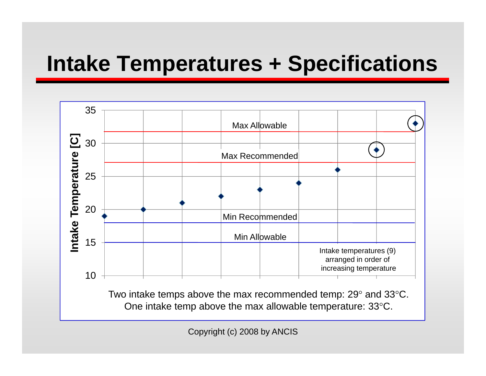## **Intake Temperatures + Specifications**

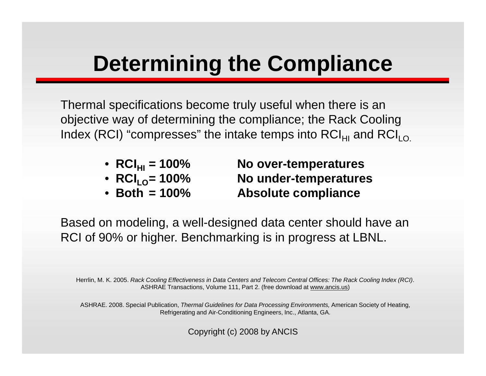#### **Determining the Compliance**

Thermal specifications become truly useful when there is an objective way of determining the compliance; the Rack Cooling Index (RCI) "compresses" the intake temps into RCI<sub>HI</sub> and RCI<sub>LO.</sub>

- **RCIHI <sup>=</sup> 100% No over**
- RCI<sub>10</sub> =  $100\%$
- Both  $= 100\%$

**No over-temperatures No under-temperatures Absolute compliance** 

Based on modeling, a well-designed data center should have an RCI of 90% or higher. Benchmarking is in progress at LBNL.

Herrlin, M. K. 2005. *Rack Cooling Effectiveness in Data Centers and Telecom Central Offices: The Rack Cooling Index (RCI)*. ASHRAE Transactions, Volume 111, Part 2. (free download at www.ancis.us)

ASHRAE. 2008. Special Publication, Thermal Guidelines for Data Processing Environments, American Society of Heating, Refrigerating and Air-Conditioning Engineers, Inc., Atlanta, GA.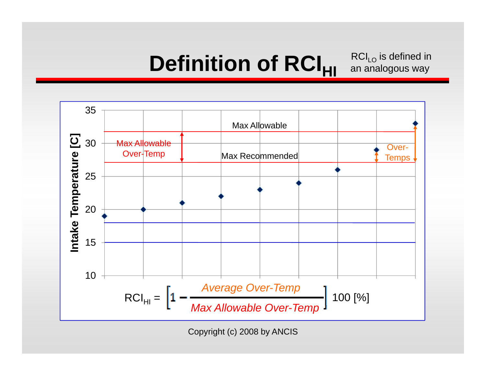### $\textbf{Definition of } \textbf{RCI}_{\textbf{HI}}$  an analogou

 $RCI<sub>LO</sub>$  is defined in an analogous way

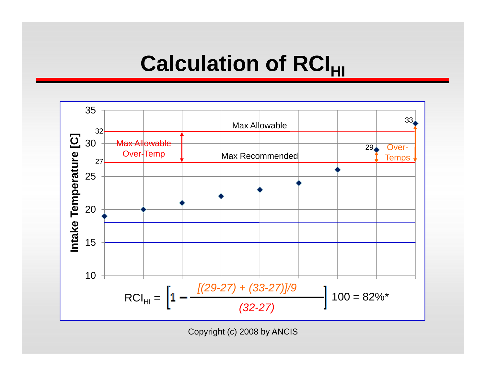#### $\boldsymbol{\mathsf{Calc} }$ ulation of  $\boldsymbol{\mathsf{RCI_{HI}}}$

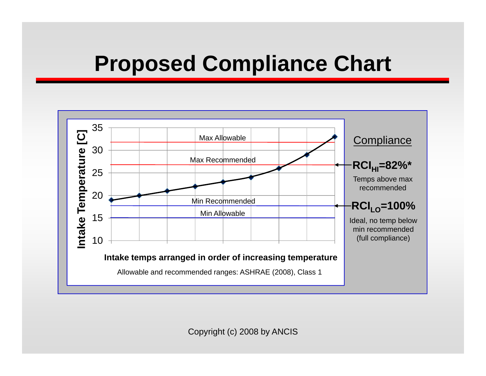#### **Proposed Compliance Chart**

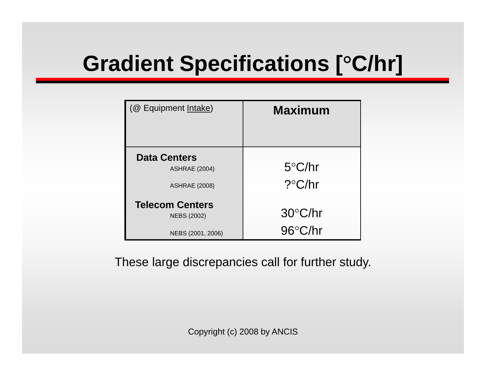# **Gradient Specifications [** °**C/hr]**

| (@ Equipment Intake)                                                | <b>Maximum</b>               |
|---------------------------------------------------------------------|------------------------------|
| <b>Data Centers</b><br><b>ASHRAE (2004)</b><br><b>ASHRAE (2008)</b> | $5^{\circ}$ C/hr<br>?°C/hr   |
| <b>Telecom Centers</b><br><b>NEBS (2002)</b><br>NEBS (2001, 2006)   | 30°C/hr<br>$96^{\circ}$ C/hr |

These large discrepancies call for further study.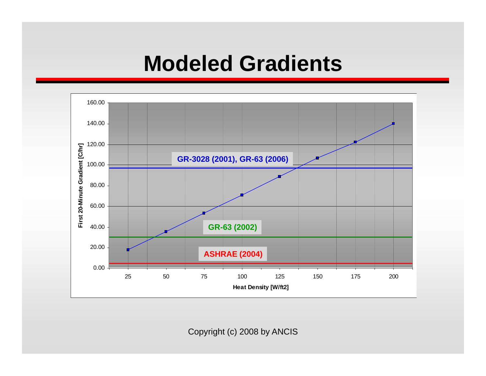#### **Modeled Gradients**

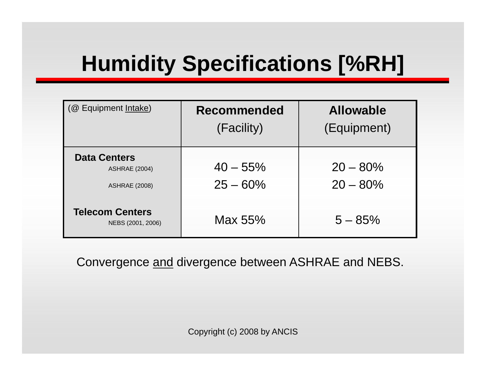# **Humidity Specifications [%RH]**

| (@ Equipment Intake)                                                | <b>Recommended</b><br>(Facility) | <b>Allowable</b><br>(Equipment) |
|---------------------------------------------------------------------|----------------------------------|---------------------------------|
| <b>Data Centers</b><br><b>ASHRAE (2004)</b><br><b>ASHRAE (2008)</b> | $40 - 55\%$<br>$25 - 60\%$       | $20 - 80\%$<br>$20 - 80\%$      |
| <b>Telecom Centers</b><br>NEBS (2001, 2006)                         | Max 55%                          | $5 - 85%$                       |

Convergence <u>and</u> divergence between ASHRAE and NEBS.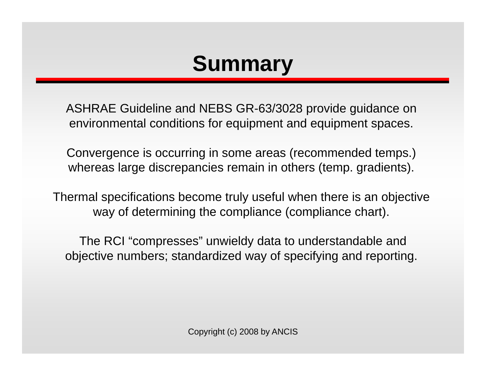### **Summary**

ASHRAE Guideline and NEBS GR-63/3028 provide guidance on environmental conditions for equipment and equipment spaces.

Convergence is occurring in some areas (recommended temps.) whereas large discrepancies remain in others (temp. gradients).

Thermal specifications become truly useful when there is an objective way of determining the compliance (compliance chart).

The RCI "compresses" unwieldy data to understandable and objective numbers; standardized way of specifying and reporting.